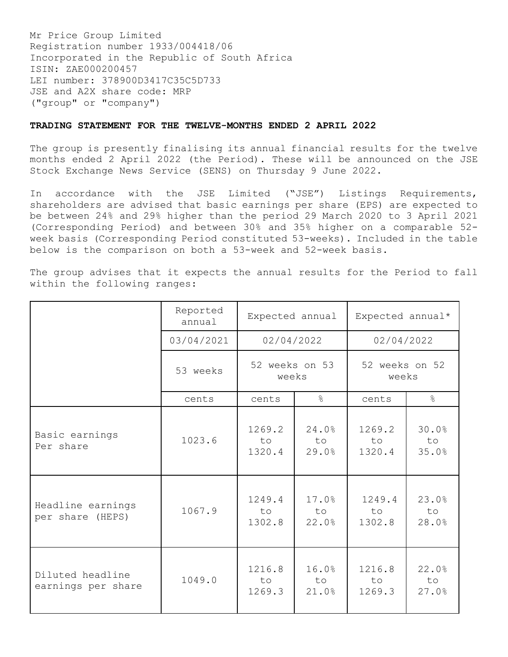Mr Price Group Limited Registration number 1933/004418/06 Incorporated in the Republic of South Africa ISIN: ZAE000200457 LEI number: 378900D3417C35C5D733 JSE and A2X share code: MRP ("group" or "company")

## **TRADING STATEMENT FOR THE TWELVE-MONTHS ENDED 2 APRIL 2022**

The group is presently finalising its annual financial results for the twelve months ended 2 April 2022 (the Period). These will be announced on the JSE Stock Exchange News Service (SENS) on Thursday 9 June 2022.

In accordance with the JSE Limited ("JSE") Listings Requirements, shareholders are advised that basic earnings per share (EPS) are expected to be between 24% and 29% higher than the period 29 March 2020 to 3 April 2021 (Corresponding Period) and between 30% and 35% higher on a comparable 52 week basis (Corresponding Period constituted 53-weeks). Included in the table below is the comparison on both a 53-week and 52-week basis.

The group advises that it expects the annual results for the Period to fall within the following ranges:

|                                        | Reported<br>annual | Expected annual                       |                      | Expected annual*        |                      |
|----------------------------------------|--------------------|---------------------------------------|----------------------|-------------------------|----------------------|
|                                        | 03/04/2021         | 02/04/2022<br>52 weeks on 53<br>weeks |                      | 02/04/2022              |                      |
|                                        | 53 weeks           |                                       |                      | 52 weeks on 52<br>weeks |                      |
|                                        | cents              | cents                                 | $\frac{8}{6}$        | cents                   | $\frac{6}{5}$        |
| Basic earnings<br>Per share            | 1023.6             | 1269.2<br>to<br>1320.4                | 24.0%<br>to<br>29.0% | 1269.2<br>to.<br>1320.4 | 30.0%<br>to<br>35.0% |
| Headline earnings<br>per share (HEPS)  | 1067.9             | 1249.4<br>to<br>1302.8                | 17.0%<br>to<br>22.0% | 1249.4<br>to<br>1302.8  | 23.0%<br>to<br>28.0% |
| Diluted headline<br>earnings per share | 1049.0             | 1216.8<br>to<br>1269.3                | 16.0%<br>to<br>21.0% | 1216.8<br>to<br>1269.3  | 22.0%<br>to<br>27.0% |